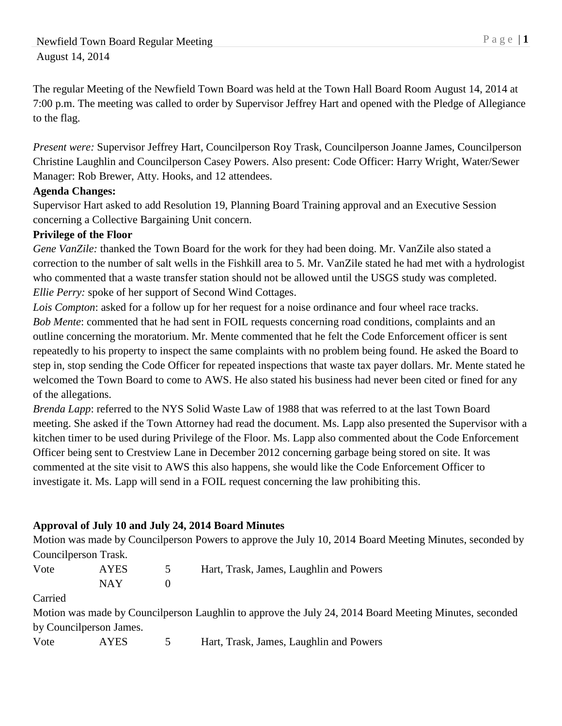The regular Meeting of the Newfield Town Board was held at the Town Hall Board Room August 14, 2014 at 7:00 p.m. The meeting was called to order by Supervisor Jeffrey Hart and opened with the Pledge of Allegiance to the flag.

*Present were:* Supervisor Jeffrey Hart, Councilperson Roy Trask, Councilperson Joanne James, Councilperson Christine Laughlin and Councilperson Casey Powers. Also present: Code Officer: Harry Wright, Water/Sewer Manager: Rob Brewer, Atty. Hooks, and 12 attendees.

### **Agenda Changes:**

Supervisor Hart asked to add Resolution 19, Planning Board Training approval and an Executive Session concerning a Collective Bargaining Unit concern.

### **Privilege of the Floor**

*Gene VanZile:* thanked the Town Board for the work for they had been doing. Mr. VanZile also stated a correction to the number of salt wells in the Fishkill area to 5. Mr. VanZile stated he had met with a hydrologist who commented that a waste transfer station should not be allowed until the USGS study was completed. *Ellie Perry:* spoke of her support of Second Wind Cottages.

*Lois Compton*: asked for a follow up for her request for a noise ordinance and four wheel race tracks. *Bob Mente*: commented that he had sent in FOIL requests concerning road conditions, complaints and an outline concerning the moratorium. Mr. Mente commented that he felt the Code Enforcement officer is sent repeatedly to his property to inspect the same complaints with no problem being found. He asked the Board to step in, stop sending the Code Officer for repeated inspections that waste tax payer dollars. Mr. Mente stated he welcomed the Town Board to come to AWS. He also stated his business had never been cited or fined for any of the allegations.

*Brenda Lapp*: referred to the NYS Solid Waste Law of 1988 that was referred to at the last Town Board meeting. She asked if the Town Attorney had read the document. Ms. Lapp also presented the Supervisor with a kitchen timer to be used during Privilege of the Floor. Ms. Lapp also commented about the Code Enforcement Officer being sent to Crestview Lane in December 2012 concerning garbage being stored on site. It was commented at the site visit to AWS this also happens, she would like the Code Enforcement Officer to investigate it. Ms. Lapp will send in a FOIL request concerning the law prohibiting this.

# **Approval of July 10 and July 24, 2014 Board Minutes**

Motion was made by Councilperson Powers to approve the July 10, 2014 Board Meeting Minutes, seconded by Councilperson Trask.

| Vote | <b>AYES</b> | Hart, Trask, James, Laughlin and Powers |
|------|-------------|-----------------------------------------|
|      | NAY.        |                                         |

Carried

Motion was made by Councilperson Laughlin to approve the July 24, 2014 Board Meeting Minutes, seconded by Councilperson James.

Vote AYES 5 Hart, Trask, James, Laughlin and Powers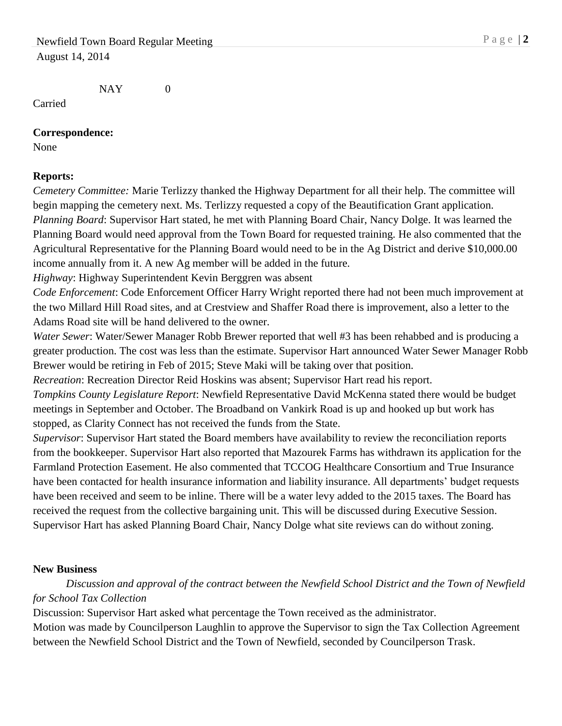NAY 0

Carried

#### **Correspondence:**

None

### **Reports:**

*Cemetery Committee:* Marie Terlizzy thanked the Highway Department for all their help. The committee will begin mapping the cemetery next. Ms. Terlizzy requested a copy of the Beautification Grant application. *Planning Board*: Supervisor Hart stated, he met with Planning Board Chair, Nancy Dolge. It was learned the Planning Board would need approval from the Town Board for requested training. He also commented that the Agricultural Representative for the Planning Board would need to be in the Ag District and derive \$10,000.00 income annually from it. A new Ag member will be added in the future.

*Highway*: Highway Superintendent Kevin Berggren was absent

*Code Enforcement*: Code Enforcement Officer Harry Wright reported there had not been much improvement at the two Millard Hill Road sites, and at Crestview and Shaffer Road there is improvement, also a letter to the Adams Road site will be hand delivered to the owner.

*Water Sewer*: Water/Sewer Manager Robb Brewer reported that well #3 has been rehabbed and is producing a greater production. The cost was less than the estimate. Supervisor Hart announced Water Sewer Manager Robb Brewer would be retiring in Feb of 2015; Steve Maki will be taking over that position.

*Recreation*: Recreation Director Reid Hoskins was absent; Supervisor Hart read his report.

*Tompkins County Legislature Report*: Newfield Representative David McKenna stated there would be budget meetings in September and October. The Broadband on Vankirk Road is up and hooked up but work has stopped, as Clarity Connect has not received the funds from the State.

*Supervisor*: Supervisor Hart stated the Board members have availability to review the reconciliation reports from the bookkeeper. Supervisor Hart also reported that Mazourek Farms has withdrawn its application for the Farmland Protection Easement. He also commented that TCCOG Healthcare Consortium and True Insurance have been contacted for health insurance information and liability insurance. All departments' budget requests have been received and seem to be inline. There will be a water levy added to the 2015 taxes. The Board has received the request from the collective bargaining unit. This will be discussed during Executive Session. Supervisor Hart has asked Planning Board Chair, Nancy Dolge what site reviews can do without zoning.

# **New Business**

*Discussion and approval of the contract between the Newfield School District and the Town of Newfield for School Tax Collection*

Discussion: Supervisor Hart asked what percentage the Town received as the administrator.

Motion was made by Councilperson Laughlin to approve the Supervisor to sign the Tax Collection Agreement between the Newfield School District and the Town of Newfield, seconded by Councilperson Trask.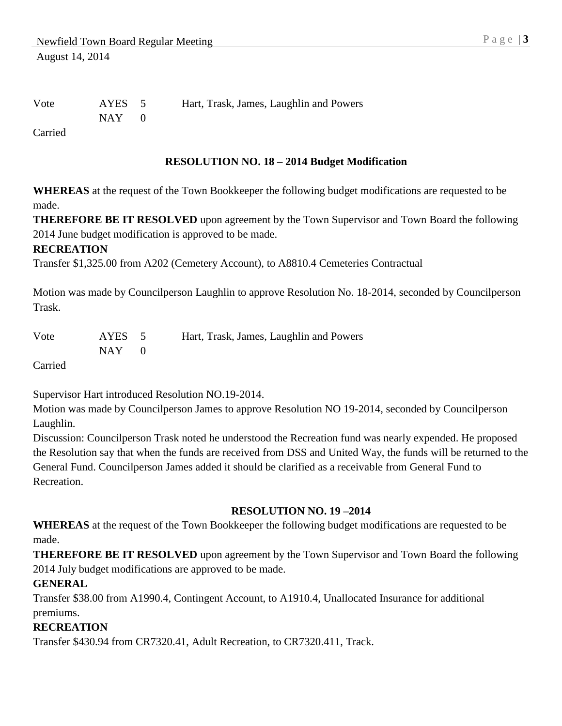Vote AYES 5 Hart, Trask, James, Laughlin and Powers

 $NAY$  0

Carried

### **RESOLUTION NO. 18 – 2014 Budget Modification**

**WHEREAS** at the request of the Town Bookkeeper the following budget modifications are requested to be made.

**THEREFORE BE IT RESOLVED** upon agreement by the Town Supervisor and Town Board the following 2014 June budget modification is approved to be made.

### **RECREATION**

Transfer \$1,325.00 from A202 (Cemetery Account), to A8810.4 Cemeteries Contractual

Motion was made by Councilperson Laughlin to approve Resolution No. 18-2014, seconded by Councilperson Trask.

| Vote | AYES 5  | Hart, Trask, James, Laughlin and Powers |
|------|---------|-----------------------------------------|
|      | $NAY$ 0 |                                         |

Carried

Supervisor Hart introduced Resolution NO.19-2014.

Motion was made by Councilperson James to approve Resolution NO 19-2014, seconded by Councilperson Laughlin.

Discussion: Councilperson Trask noted he understood the Recreation fund was nearly expended. He proposed the Resolution say that when the funds are received from DSS and United Way, the funds will be returned to the General Fund. Councilperson James added it should be clarified as a receivable from General Fund to Recreation.

### **RESOLUTION NO. 19 –2014**

**WHEREAS** at the request of the Town Bookkeeper the following budget modifications are requested to be made.

**THEREFORE BE IT RESOLVED** upon agreement by the Town Supervisor and Town Board the following 2014 July budget modifications are approved to be made.

### **GENERAL**

Transfer \$38.00 from A1990.4, Contingent Account, to A1910.4, Unallocated Insurance for additional premiums.

# **RECREATION**

Transfer \$430.94 from CR7320.41, Adult Recreation, to CR7320.411, Track.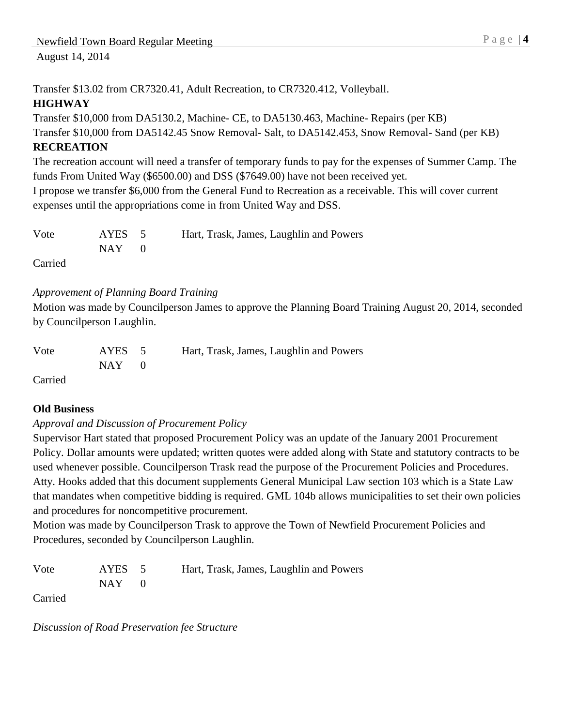Transfer \$13.02 from CR7320.41, Adult Recreation, to CR7320.412, Volleyball. **HIGHWAY**

### Transfer \$10,000 from DA5130.2, Machine- CE, to DA5130.463, Machine- Repairs (per KB)

Transfer \$10,000 from DA5142.45 Snow Removal- Salt, to DA5142.453, Snow Removal- Sand (per KB)

# **RECREATION**

The recreation account will need a transfer of temporary funds to pay for the expenses of Summer Camp. The funds From United Way (\$6500.00) and DSS (\$7649.00) have not been received yet.

I propose we transfer \$6,000 from the General Fund to Recreation as a receivable. This will cover current expenses until the appropriations come in from United Way and DSS.

| Vote | AYES 5        | Hart, Trask, James, Laughlin and Powers |
|------|---------------|-----------------------------------------|
|      | $NAY \quad 0$ |                                         |
|      |               |                                         |

Carried

### *Approvement of Planning Board Training*

Motion was made by Councilperson James to approve the Planning Board Training August 20, 2014, seconded by Councilperson Laughlin.

| Vote | AYES 5    | Hart, Trask, James, Laughlin and Powers |
|------|-----------|-----------------------------------------|
|      | $NAY = 0$ |                                         |

Carried

# **Old Business**

### *Approval and Discussion of Procurement Policy*

Supervisor Hart stated that proposed Procurement Policy was an update of the January 2001 Procurement Policy. Dollar amounts were updated; written quotes were added along with State and statutory contracts to be used whenever possible. Councilperson Trask read the purpose of the Procurement Policies and Procedures. Atty. Hooks added that this document supplements General Municipal Law section 103 which is a State Law that mandates when competitive bidding is required. GML 104b allows municipalities to set their own policies and procedures for noncompetitive procurement.

Motion was made by Councilperson Trask to approve the Town of Newfield Procurement Policies and Procedures, seconded by Councilperson Laughlin.

Vote AYES 5 Hart, Trask, James, Laughlin and Powers  $NAY$  0

Carried

*Discussion of Road Preservation fee Structure*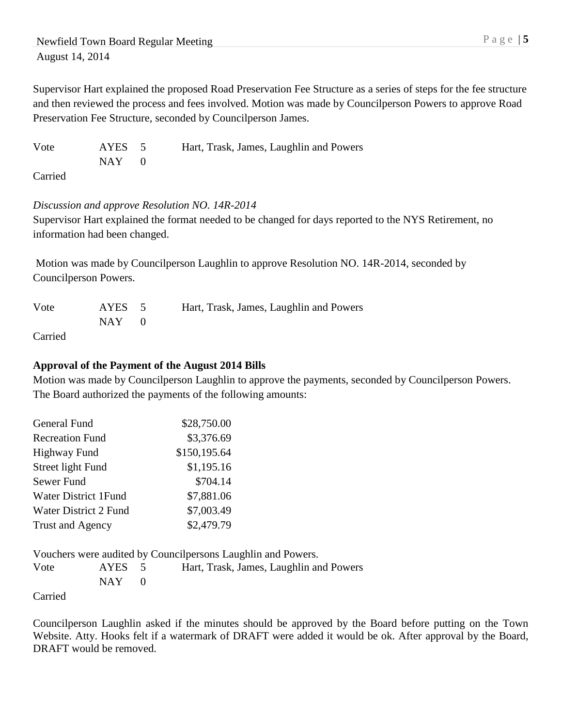Supervisor Hart explained the proposed Road Preservation Fee Structure as a series of steps for the fee structure and then reviewed the process and fees involved. Motion was made by Councilperson Powers to approve Road Preservation Fee Structure, seconded by Councilperson James.

Vote AYES 5 Hart, Trask, James, Laughlin and Powers  $NAY$  0

Carried

### *Discussion and approve Resolution NO. 14R-2014*

Supervisor Hart explained the format needed to be changed for days reported to the NYS Retirement, no information had been changed.

Motion was made by Councilperson Laughlin to approve Resolution NO. 14R-2014, seconded by Councilperson Powers.

| Vote                      | AYES 5    | Hart, Trask, James, Laughlin and Powers |
|---------------------------|-----------|-----------------------------------------|
|                           | $NAY = 0$ |                                         |
| $C_{\alpha \text{minad}}$ |           |                                         |

Carried

# **Approval of the Payment of the August 2014 Bills**

Motion was made by Councilperson Laughlin to approve the payments, seconded by Councilperson Powers. The Board authorized the payments of the following amounts:

| <b>General Fund</b>    | \$28,750.00  |
|------------------------|--------------|
| <b>Recreation Fund</b> | \$3,376.69   |
| <b>Highway Fund</b>    | \$150,195.64 |
| Street light Fund      | \$1,195.16   |
| Sewer Fund             | \$704.14     |
| Water District 1 Fund  | \$7,881.06   |
| Water District 2 Fund  | \$7,003.49   |
| Trust and Agency       | \$2,479.79   |

Vouchers were audited by Councilpersons Laughlin and Powers. Vote AYES 5 Hart, Trask, James, Laughlin and Powers  $NAY$  0 Carried

Councilperson Laughlin asked if the minutes should be approved by the Board before putting on the Town Website. Atty. Hooks felt if a watermark of DRAFT were added it would be ok. After approval by the Board, DRAFT would be removed.